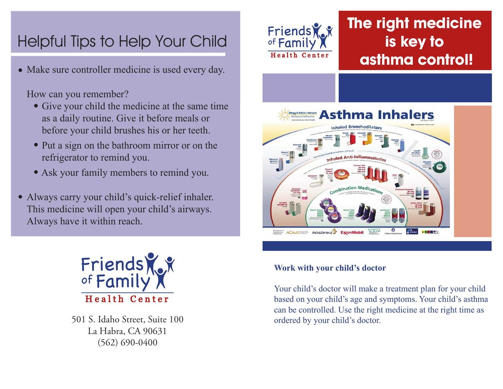# Helpful Tips to Help Your Child

• Make sure controller medicine is used every day.

How can you remember?

- Give your child the medicine at the same time as a daily routine. Give it before meals or before your child brushes his or her teeth.
- Put a sign on the bathroom mirror or on the refrigerator to remind you.
- Ask your family members to remind you.
- Always carry your child's quick-relief inhaler. This medicine will open your child's airways. Always have it within reach.



501 S. Idaho Street, Suite 100 La Habra, CA 90631 (562) 690-0400



## **The right medicine is key to asthma control!**



#### **Work with your child's doctor**

Your child's doctor will make a treatment plan for your child based on your child's age and symptoms. Your child's asthma can be controlled. Use the right medicine at the right time as ordered by your child's doctor.